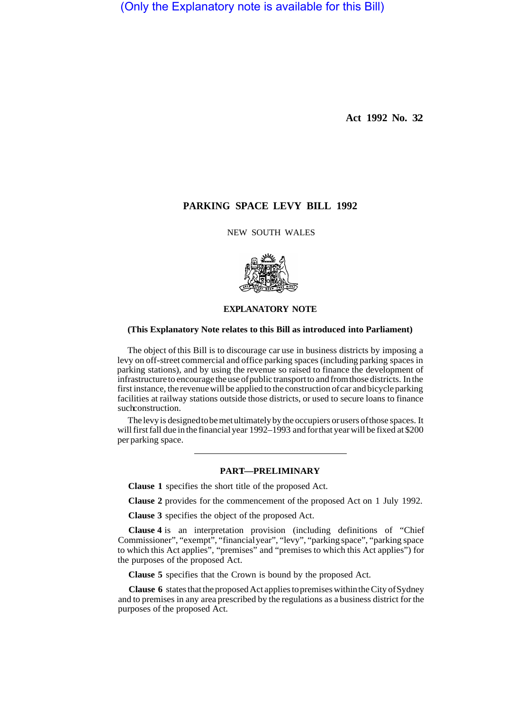(Only the Explanatory note is available for this Bill)

**Act 1992 No. 32** 

# **PARKING SPACE LEVY BILL 1992**

NEW SOUTH WALES



#### **EXPLANATORY NOTE**

### **(This Explanatory Note relates to this Bill as introduced into Parliament)**

The object of this Bill is to discourage car use in business districts by imposing a levy on off-street commercial and office parking spaces (including parking spaces in parking stations), and by using the revenue so raised to finance the development of infrastructure to encourage the use of public transport to and from those districts. In the first instance, the revenue will be applied to the construction of car and bicycle parking facilities at railway stations outside those districts, or used to secure loans to finance such construction.

The levy is designed to be met ultimately by the occupiers or users of those spaces. It will first fall due in the financial year 1992–1993 and for that year will be fixed at \$200 per parking space.

### PART-PRELIMINARY

**Clause 1** specifies the short title of the proposed Act.

**Clause 2** provides for the commencement of the proposed Act on 1 July 1992.

**Clause 3** specifies the object of the proposed Act.

**Clause 4** is an interpretation provision (including definitions of "Chief Commissioner", "exempt", "financial year", "levy", "parking space", "parking space to which this Act applies", "premises" and "premises to which this Act applies") for the purposes of the proposed Act.

**Clause 5** specifies that the Crown is bound by the proposed Act.

**Clause 6** states that the proposed Act applies to premises within the City of Sydney and to premises in any area prescribed by the regulations as a business district for the purposes of the proposed Act.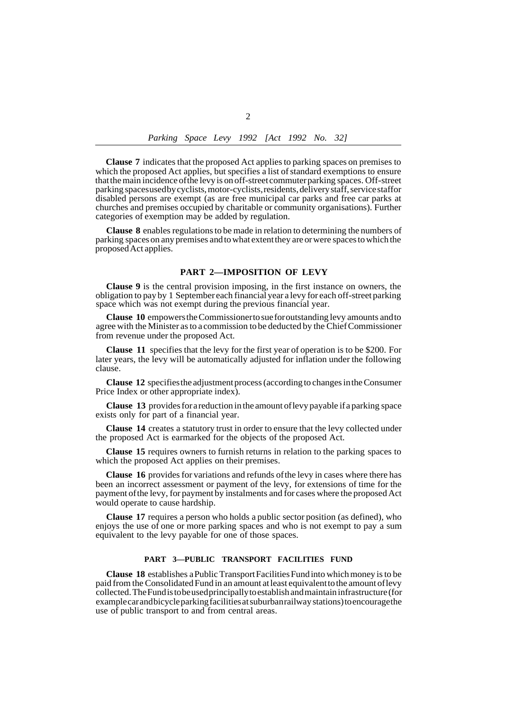**Clause 7** indicates that the proposed Act applies to parking spaces on premises to which the proposed Act applies, but specifies a list of standard exemptions to ensure that the main incidence of the levy is on off-street commuter parking spaces. Off-street parking spaces used by cyclists, motor-cyclists, residents, delivery staff, service staff or disabled persons are exempt (as are free municipal car parks and free car parks at churches and premises occupied by charitable or community organisations). Further categories of exemption may be added by regulation.

**Clause 8** enables regulations to be made in relation to determining the numbers of parking spaces on any premises and to what extent they are or were spaces to which the proposed Act applies.

#### **PART 2—IMPOSITION OF LEVY**

**Clause 9** is the central provision imposing, in the first instance on owners, the obligation to pay by 1 September each financial year a levy for each off-street parking space which was not exempt during the previous financial year.

**Clause 10** empowers the Commissioner to sue for outstanding levy amounts and to agree with the Minister as to a commission to be deducted by the Chief Commissioner from revenue under the proposed Act.

**Clause 11** specifies that the levy for the first year of operation is to be \$200. For later years, the levy will be automatically adjusted for inflation under the following clause.

**Clause 12** specifies the adjustment process (according to changes in the Consumer Price Index or other appropriate index).

**Clause 13** provides for a reduction in the amount of levy payable if a parking space exists only for part of a financial year.

**Clause 14** creates a statutory trust in order to ensure that the levy collected under the proposed Act is earmarked for the objects of the proposed Act.

**Clause 15** requires owners to furnish returns in relation to the parking spaces to which the proposed Act applies on their premises.

**Clause 16** provides for variations and refunds of the levy in cases where there has been an incorrect assessment or payment of the levy, for extensions of time for the payment of the levy, for payment by instalments and for cases where the proposed Act would operate to cause hardship.

**Clause 17** requires a person who holds a public sector position (as defined), who enjoys the use of one or more parking spaces and who is not exempt to pay a sum equivalent to the levy payable for one of those spaces.

## **PART 3—PUBLIC TRANSPORT FACILITIES FUND**

**Clause 18** establishes a Public Transport Facilities Fund into which money is to be paid from the Consolidated Fund in an amount at least equivalent to the amount of levy collected. The Fund is to be used principally to establish and maintain infrastructure (for example car and bicycle parking facilities at suburban railway stations) to encourage the use of public transport to and from central areas.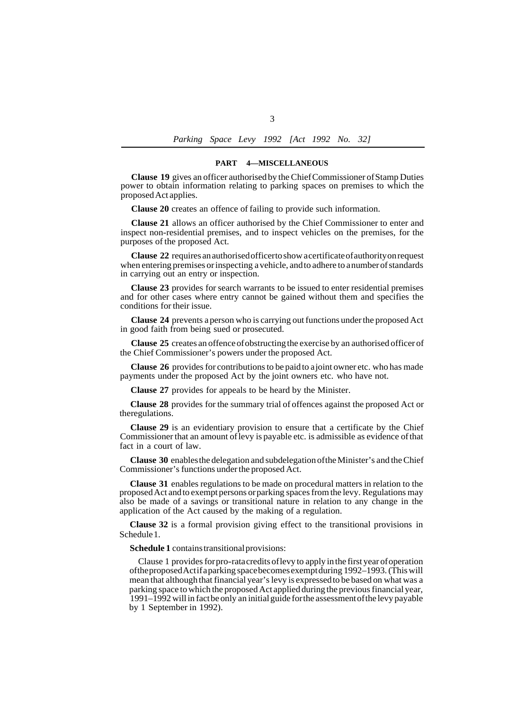*Parking Space Levy 1992 [Act 1992 No. 32]* 

#### **PART 4—MISCELLANEOUS**

**Clause 19** gives an officer authorised by the Chief Commissioner of Stamp Duties power to obtain information relating to parking spaces on premises to which the proposed Act applies.

**Clause 20** creates an offence of failing to provide such information.

**Clause 21** allows an officer authorised by the Chief Commissioner to enter and inspect non-residential premises, and to inspect vehicles on the premises, for the purposes of the proposed Act.

**Clause 22** requires an authorised officer to show a certificate of authority on request when entering premises or inspecting a vehicle, and to adhere to a number of standards in carrying out an entry or inspection.

**Clause 23** provides for search warrants to be issued to enter residential premises and for other cases where entry cannot be gained without them and specifies the conditions for their issue.

**Clause 24** prevents a person who is carrying out functions under the proposed Act in good faith from being sued or prosecuted.

**Clause 25** creates an offence of obstructing the exercise by an authorised officer of the Chief Commissioner's powers under the proposed Act.

**Clause 26** provides for contributions to be paid to a joint owner etc. who has made payments under the proposed Act by the joint owners etc. who have not.

**Clause 27** provides for appeals to be heard by the Minister.

**Clause 28** provides for the summary trial of offences against the proposed Act or theregulations.

**Clause 29** is an evidentiary provision to ensure that a certificate by the Chief Commissioner that an amount of levy is payable etc. is admissible as evidence of that fact in a court of law.

**Clause 30** enables the delegation and subdelegation of the Minister's and the Chief Commissioner's functions under the proposed Act.

**Clause 31** enables regulations to be made on procedural matters in relation to the proposed Act and to exempt persons or parking spaces from the levy. Regulations may also be made of a savings or transitional nature in relation to any change in the application of the Act caused by the making of a regulation.

Schedule 1. **Clause 32** is a formal provision giving effect to the transitional provisions in

**Schedule 1** contains transitional provisions:

Clause 1 provides for pro-rata credits of levy to apply in the first year of operation of the proposed Act if a parking space becomes exempt during 1992–1993. (This will mean that although that financial year's levy is expressed to be based on what was a parking space to which the proposed Act applied during the previous financial year, 1991–1992 will in fact be only an initial guide for the assessment of the levy payable by 1 September in 1992).